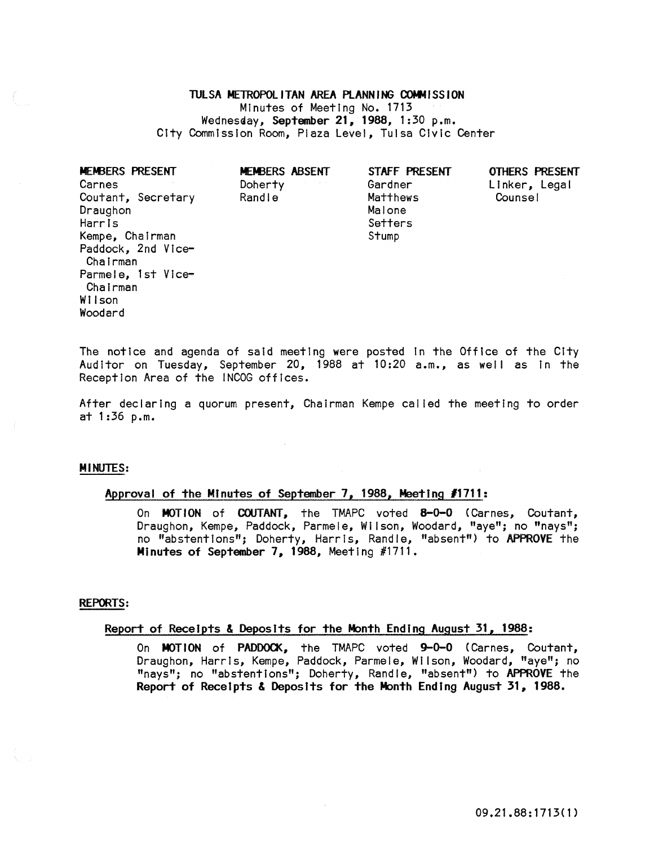TULSA METROPOLITAN AREA PLANNING COMMISSION Minutes of Meeting No. 1713 Wednesday, September 21, 1988, 1:30 p.m. City Commission Room, Plaza Level, Tulsa Civic Center

MEMBERS PRESENT Carnes Coutant, Secretary Randle **Counsel** Matthews **Counsel Draughon** Harris Kempe, Chairman Paddock, 2nd Vice-Chairman Parmele, 1st Vice-Chairman Wilson Woodard

MEMBERS ABSENT Doherty Randle

STAFF PRESENT Gardner Matthews Malone

**Setters** 

Stump

OTHERS PRESENT Linker, Legal

The notice and agenda of said meeting were posted In the Office of the City Auditor on Tuesday, September 20, 1988 at 10:20 a.m., as well as In the Reception Area of the INCOG offices.

After declaring a quorum present, Chairman Kempe cal led the meeting to order at 1:36 p.m.

### MINUTES:

# Approval of the Minutes of September 7, 1988, Meeting #1711:

On MOTION of COUTANT, the TMAPC voted 8-0-0 (Carnes, Coutant, Draughon, Kempe, Paddock, Parmele, Wilson, Woodard, "aye"; no "nays"; no "abstentions"; Doherty, Harris, Randle, "absent") to APPROVE the Minutes of September 7, 1988, Meeting #1711.

#### REPORTS:

## Report of Receipts & Deposits for the Month Ending August 31, 1988:

On MOTION of PADDOCK, the TMAPC voted 9-0-0 (Carnes, Coutant, Draughon, Harris, Kempe, Paddock, Parmele, Wilson, Woodard, "aye"; no "nays"; no "abstentions"; Doherty, Randle, "absent") to APPROVE the Report of Receipts & Deposits for the Month Ending August 31, 1988.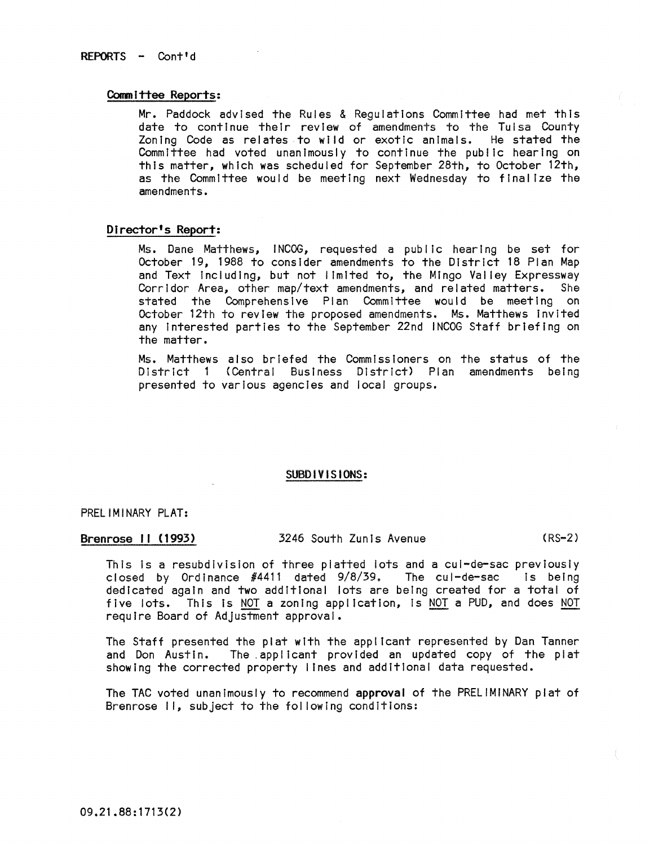## Committee Reports:

Mr. Paddock advised the Rules & Regulations Committee had met this date to continue their review of amendments to the Tulsa County Zoning Code as relates to wild or exotic animals. He stated the Committee had voted unanimously to continue the public hearing on this matter, which was scheduled for September 28th, to October 12th, as the Committee would be meeting next Wednesday to finalize the amendments.

# Director's Report:

Ms. Dane Matthews, I NCOG, requested a public hearing be set for October 19, 1988 to consider amendments to the District 18 Plan Map and Text including, but not limited to, the Mingo Valley Expressway Corridor Area, other map/text amendments, and related matters. She stated the Comprehensive Plan Committee would be meeting on October 12th to review the proposed amendments. Ms. Matthews Invited any Interested parties to the September 22nd INCOG Staff briefing on the matter.

Ms. Matthews also briefed the Commissioners on the status of the District 1 (Central Business District) Plan amendments being presented to various agencies and local groups.

## SUBDIVISIONS:

PRELIMINARY PLAT:

Brenrose II (1993) 3246 South Zunis Avenue (RS-2)

This is a resubdivision of three platted lots and a cul-de-sac previously closed by Ordinance #4411 dated 9/8/39. The cul-de-sac Is being dedicated again and two additional lots are being created for a total of five lots. This Is NOT a zoning application, Is NOT a PUD, and does NOT require Board of Adjustment approval.

The Staff presented the plat with the applicant represented by Dan Tanner and Don Austin. The applicant provided an updated copy of the plat showing the corrected property lInes and additional data requested.

The TAC voted unanimously to recommend approval of the PRELIMINARY plat of Brenrose II, subject to the following conditions: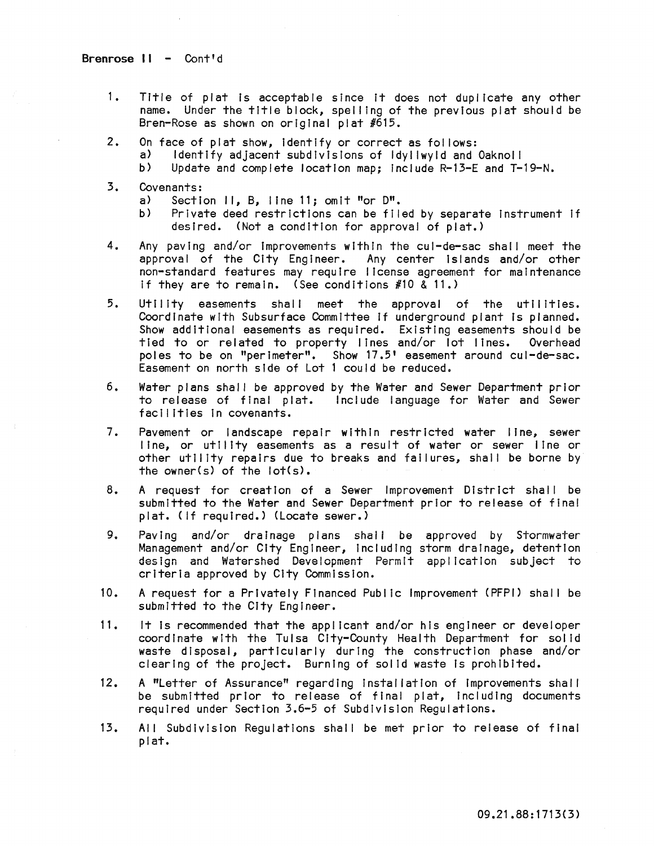- 1. Title of plat Is acceptable since It does not duplicate any other name. Under the title block, spel ling of the previous plat should be Bren-Rose as shown on original plat #615.
- 2. On face of plat show, identify or correct as follows:<br>a) Identify adjacent subdivisions of Idvilwvid and
	- Identify adjacent subdivisions of Idyllwyld and Oaknoll
	- b) Update and complete location map; Include R-13-E and T-19-N.
- 3. Covenants:
	- a) Section II, B, line 11; omit "or 0".
	- b) Private deed restrictions can be flied by separate Instrument If desired. (Not a condition for approval of plat.)
- 4. Any paving and/or Improvements within the cul-de-sac shall meet the approval of the City Engineer. Any center islands and/or other non-standard features may require license agreement for maintenance If they are to remain. (See conditions  $#10 \& 11.$ )
- 5. Utility easements shall meet the approval of the utilities. Coordinate with Subsurface Committee If underground plant Is planned. Show additional easements as required. Existing easements should be tied to or related to property lines and/or lot lines. Overhead poles to be on "perimeter". Show 17.5' easement around cul-de-sac. Easement on north side of Lot 1 could be reduced.
- 6. Water plans shall be approved by the Water and Sewer Department prior to release of final plat. Include language for Water and Sewer facilities In covenants.
- 7. Pavement or landscape repair within restricted water line, sewer line, or utility easements as a result of water or sewer line or other utility repairs due to breaks and failures, shall be borne by the owner(s) of the lot(s).
- 8. A request for creation of a Sewer Improvement District shall be submitted to the Water and Sewer Department prior to release of final plat. (If required.) (Locate sewer.)
- 9. Paving and/or drainage plans shall be approved by Stormwater Management and/or City Engineer, Including storm drainage, detention design and Watershed Development Permit application subject to criteria approved by City Commission.
- 10. A request for a Privately Financed Public Improvement (PFPI) shal I be submitted to the City Engineer.
- 11. It Is recommended that the applicant and/or his engineer or developer coordinate with the Tulsa City-County Health Department for solid waste disposal, particularly during the construction phase and/or clearing of the project. Burning of solid waste is prohibited.
- 12. A "Letter of Assurance" regarding installation of improvements shall be submitted prior to release of final plat, including documents required under Section 3.6-5 of Subdivision Regulations.
- 13. All Subdivision Regulations shal I be met prior to release of final plat.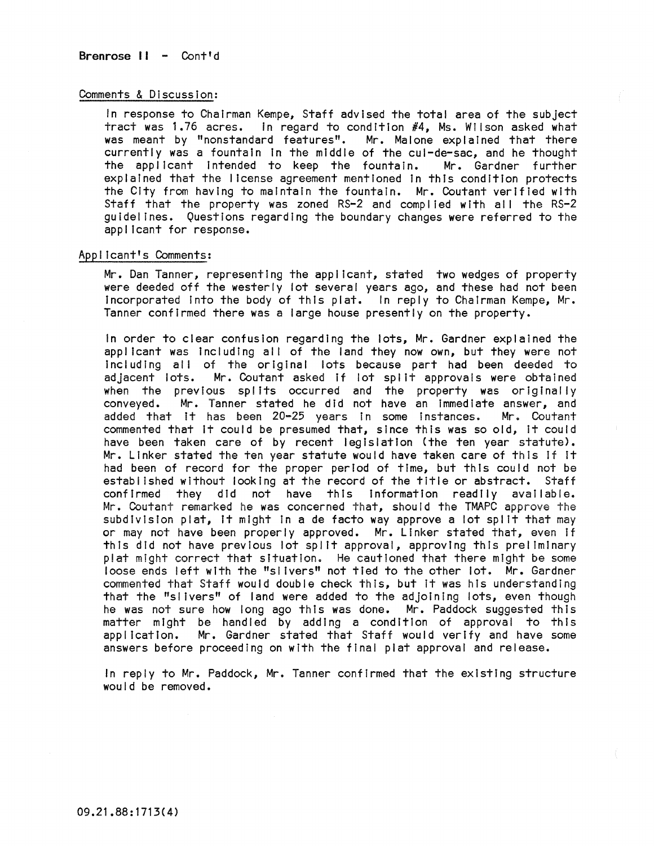## Comments & DIscussion:

In response to Chairman Kempe, Staff advised the total area of the subject tract was 1.76 acres. In regard to condition  $#4$ , Ms. Wilson asked what was meant by "nonstandard features". Mr. Malone explained that there currently was a fountain In the mIddle of the cul-de-sac, and he thought the applicant Intended to keep the fountain. Mr. Gardner further explaIned that the license agreement mentioned In this condition protects the CIty from having to maintain the fountain. Mr. Coutant verified with Staff that the property was zoned RS-2 and complied with all the RS-2 guidelines. Questions regarding the boundary changes were referred to the applicant for response.

## Applicant's Comments:

Mr. Dan Tanner, representing the applicant, stated two wedges of property were deeded off the westerly lot several years ago, and these had not been Incorporated Into the body of this plat. In reply to ChaIrman Kempe, Mr. Tanner confirmed there was a large house presently on the property.

In order to clear confusion regarding the lots, Mr. Gardner explained the applicant was Including all of the land they now own, but they were not including all of the original lots because part had been deeded to adjacent lots. Mr. Coutant asked If lot spl it approvals were obtained when the previous splits occurred and the property was originally conveyed. Mr. Tanner stated he did not have an immediate answer, and added that it has been 20-25 years in some instances. Mr. Coutant commented that It could be presumed that, since this was so old, It could have been taken care of by recent legislation (the ten year statute). Mr. Linker stated the ten year statute would have taken care of this If It had been of record for the proper period of time, but this could not be established without looking at the record of the title or abstract. Staff confirmed they did not have this information readily available. Mr. Coutant remarked he was concerned that, should the TMAPC approve the subdivision plat, it might in a de facto way approve a lot split that may or may not have been properly approved. Mr. Linker stated that, even If this did not have previous lot spilt approval, approving this preliminary plat might correct that situation. He cautioned that there might be some loose ends left with the "sl Ivers" not tied to the other lot. Mr. Gardner commented that Staff would double check this, but It was his understanding that the "sl Ivers" of land were added to the adjoining lots, even though he was not sure how long ago this was done. Mr. Paddock suggested this matter might be handled by adding a condition of approval to this application. Mr. Gardner stated that Staff would verify and have some answers before proceeding on with the final plat approval and release.

In reply to Mr. Paddock, Mr. Tanner confirmed that the existing structure would be removed.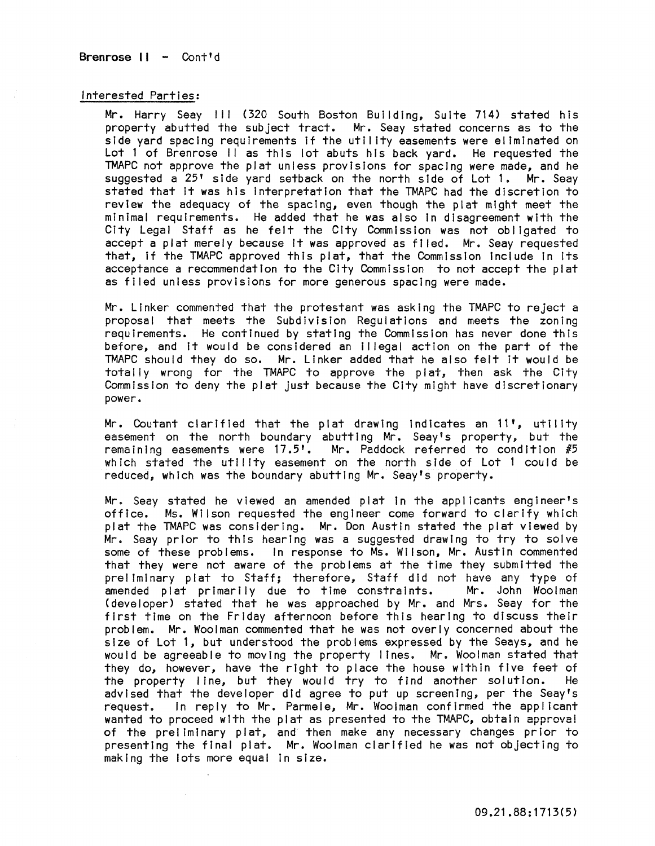Brenrose II - Cont'd

#### Interested Parties:

Mr. Harry Seay III (320 South Boston Bulldlng~ Suite 714) stated his property abutted the subject tract. Mr. Seay stated concerns as to the side yard spacing requirements If the utility easements were eliminated on Lot 1 of Brenrose II as this lot abuts his back yard. He requested the TMAPC not approve the plat unless provisions for spacing were made, and he suggested a 25' side yard setback on the north side of Lot 1. Mr. Seay stated that It was his interpretation that the TMAPC had the discretion to review the adequacy of the spacing, even though the plat might meet the minimal requirements. He added that he was also In disagreement with the City Legal Staff as he felt the City Commission was not obligated to accept a plat merely because It was approved as filed. Mr. Seay requested that, If the TMAPC approved this plat, that the Commission Include In Its acceptance a recommendation to the City Commission to not accept the plat as filed unless provisions for more generous spacing were made.

Mr. Linker commented that the protestant was asking the TMAPC to reject a proposal that meets the Subdivision Requiations and meets the zoning requirements. He continued by stating the Commission has never done this before, and It would be considered an Illegal action on the part of the TMAPC should they do so. Mr. Linker added that he also felt It would be totally wrong for the TMAPC to approve the plat, then ask the City Commission to deny the plat just because the City might have discretionary **power.** 

Mr. Coutant clarified that the plat drawing indicates an 11', utility easement on the north boundary abutting Mr. Seay's property, but the remaining easements were  $17.5$ <sup>t</sup>. Mr. Paddock referred to condition  $#5$ which stated the utility easement on the north side of Lot 1 could be reduced, which was the boundary abutting Mr. Seay's property.

Mr. Seay stated he viewed an amended plat in the applicants engineer's office. Ms. Wilson requested the engineer come forward to clarify which plat the TMAPC was considering. Mr. Don Austin stated the plat viewed by Mr. Seay prior to this hearing was a suggested drawing to try to solve some of these problems. In response to Ms. Wilson, Mr. Austin commented that they were not aware of the problems at the time they submitted the preliminary plat to Staff; therefore, Staff did not have any type of amended plat primarily due to time constraints. Mr. John Woolman (developer) stated that he was approached by Mr. and Mrs. Seay for the first time on the Friday afternoon before this hearing to discuss their problem. Mr. Woolman commented that he was not overly concerned about the size of Lot 1, but understood the problems expressed by the Seays, and he would be agreeable to moving the property lines. Mr. Woolman stated that they do, however, have the right to place the house within five feet of the property line, but they would try to find another solution. He advised that the developer did agree to put up screening, per the Seay's request. In reply to Mr. Parmele, Mr. Woolman confirmed the applicant **wanted to proceed with the plat as presented to the TMAPC, obtatn approval**  of the preliminary plat, and then make any necessary changes prior to presenting the final plat. Mr. Woolman clarified he was not objecting to making the lots more equal In size.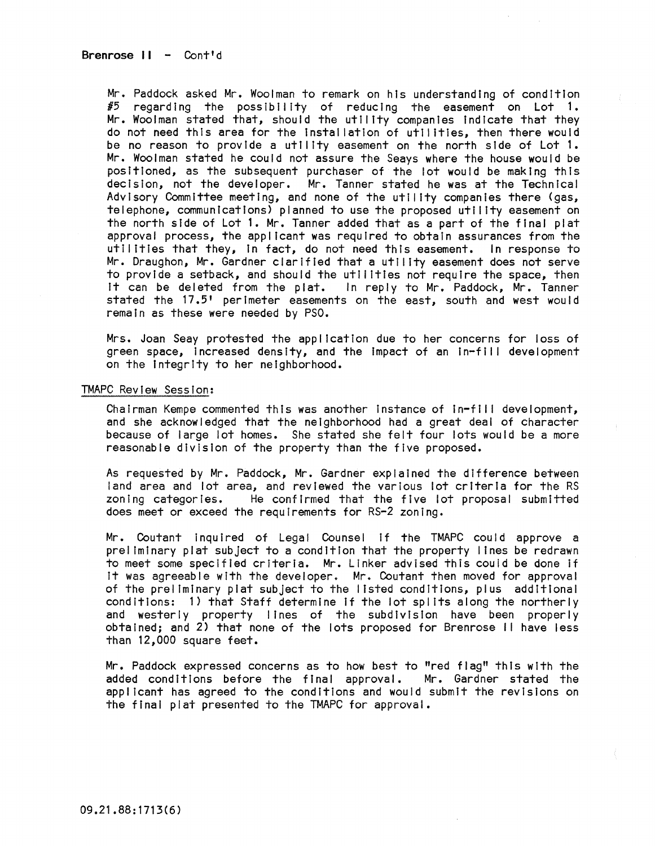Mr. Paddock asked Mr. Woolman to remark on his understanding of condition  $\#5$  regarding the possibility of reducing the easement on Lot 1. Mr. Woolman stated that, should the utility companies Indicate that they do not need this area for the Installation of utilities, then there would be no reason to provide a utility easement on the north side of Lot 1. Mr. Woolman stated he could not assure the Seays where the house would be positioned, as the subsequent purchaser of the lot would be making this decision, not the developer. Mr. Tanner stated he was at the Technical Advisory Committee meeting, and none of the utility companies there (gas, telephone, communications) planned to use the proposed utility easement on the north side of Lot **1.** Mr. Tanner added that as a part of the final plat approval process, the applicant was required to obtain assurances from the utilities that they, In fact, do not need this easement. In response to Mr. Draughon, Mr. Gardner clarified that a utility easement does not serve to provide a setback, and should the utilities not require the space, then it can be deleted from the plat. In reply to Mr. Paddock, Mr. Tanner stated the 17.5' perimeter easements on the east, south and west would remain as these were needed by PSO.

Mrs. Joan Seay protested the application due to her concerns for loss of green space, increased density, and the impact of an in-fill development on the Integrity to her neighborhood.

## TMAPC Review Session:

Chairman Kempe commented this was another instance of in-fill development, and she acknowledged that the neighborhood had a great deal of character because of large lot homes. She stated she felt four lots would be a more reasonable division of the property than the five proposed.

As requested by Mr. Paddock, Mr. Gardner explained the difference between land area and lot area, and reviewed the various lot criteria for the RS<br>zoning categories. He confirmed that the five lot proposal submitted He confirmed that the five lot proposal submitted does meet or exceed the requirements for RS-2 zoning.

Mr. Coutant inquired of Legal Counsel if the TMAPC could approve a preliminary plat subject to a condition that the property lines be redrawn to meet some specified criteria. Mr. Linker advised this couid be done if It was agreeable with the developer. Mr. Coutant then moved for approval of the preliminary plat subject to the I isted conditions, plus additional conditions: 1) that Staff determine if the lot splits along the northerly and westerly property lines of the subdivision have been properly obtained; and 2) that none of the lots proposed for Brenrose II have less than 12,000 square feet.

Mr. Paddock expressed concerns as to how best to "red flag" this with the added conditions before the final approval. Mr. Gardner stated the applicant has agreed to the conditions and would submit the revisions on the final plat presented to the TMAPC for approval.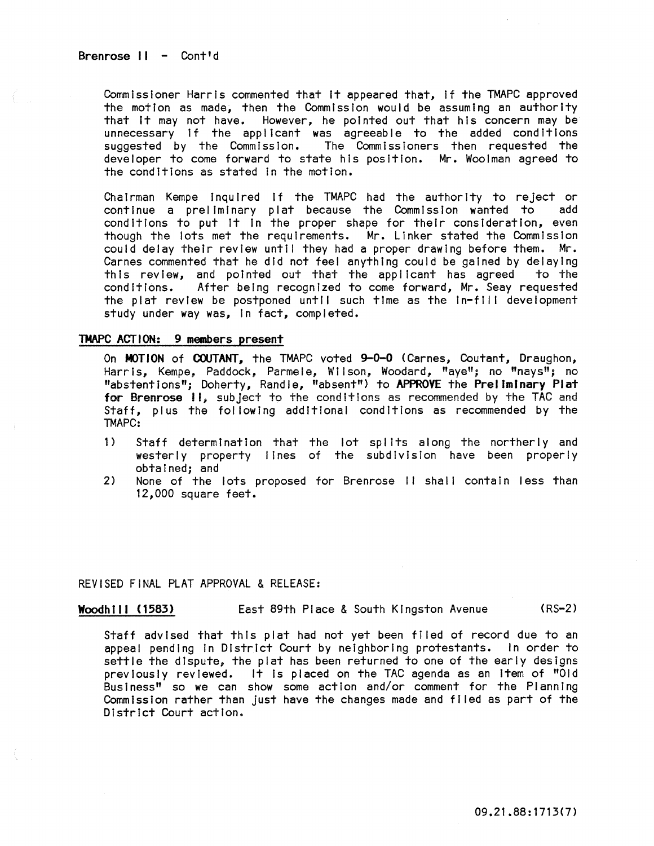Brenrose  $II -$  Cont'd

Commissioner Harris commented that It appeared that, If the TMAPC approved the motion as made, then the Commission would be assuming an authority that It may not have. However, he pointed out that his concern may be unnecessary If the applicant was agreeable to the added conditions suggested by the Commission. The Commissioners then requested the developer to come forward to state his position. Mr. Woolman agreed to the conditions as stated In the motion.

Chairman Kempe inquired if the TMAPC had the authority to reject or continue a preliminary plat because the Commission wanted to add conditions to put it in the proper shape for their consideration, even though the lots met the requirements. Mr. Linker stated the Commission could delay their review until they had a proper drawing before them. Mr. Carnes commented that he did not feel anything could be gained by delaying this review, and pointed out that the applicant has agreed to the conditions. After being recognized to come forward. Mr. Seav requested After being recognized to come forward, Mr. Seay requested the plat review be postponed until such time as the in-fill development study under way was, In fact, completed.

## TMAPC ACTION: 9 members present

On MOTION of COUTANT, the TMAPC voted 9-0-0 (Carnes, Coutant, Draughon, Harris, Kempe, Paddock, Parmele, Wilson, Woodard, "aye"; no "nays"; no "abstentions"; Doherty, Randle, "absent") to APPROVE the Preliminary Plat for Brenrose II, subject to the conditions as recommended by the TAC and Staff, plus the following additional conditions as recommended by the !MAPC:

- 1) Staff determination that the lot splits along the northerly and westerly property lines of the subdivision have been properly obtained; and
- 2) None of the lots proposed for Brenrose II shall contain less than 12,000 square feet.

# REVISED FINAL PLAT APPROVAL & RELEASE:

Woodhill (1583) East 89th Place & South Kingston Avenue (RS-2)

Staff advised that this plat had not yet been filed of record due to an appeal pending In District Court by neighboring protestants. In order to settle the dispute, the plat has been returned to one of the early designs previously reviewed. It is placed on the TAC agenda as an item of "Old Business" so we can show some action and/or comment for the Planning Commission rather than just have the changes made and filed as part of the District Court action.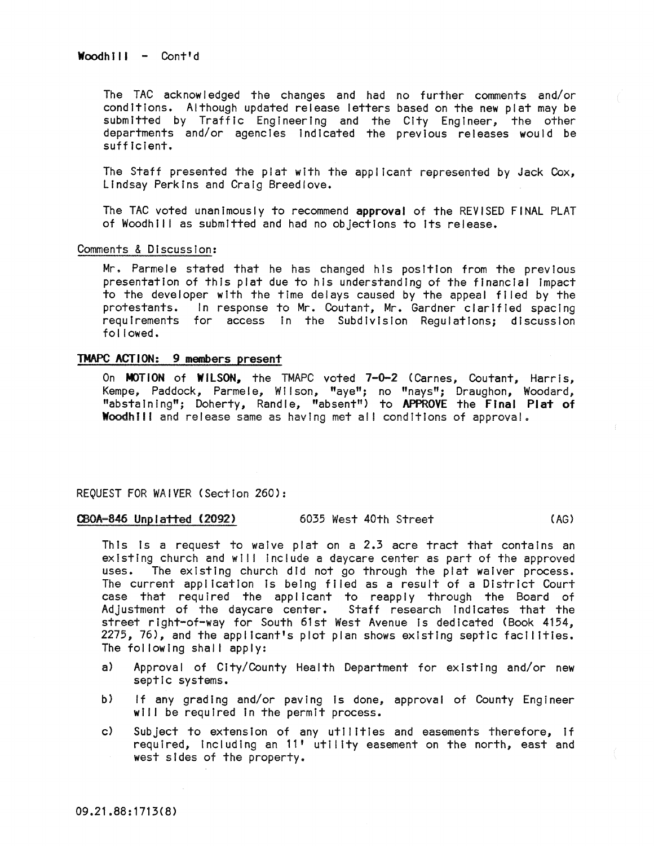Woodhill - Cont'd

The TAC acknowledged the changes and had no further comments and/or conditions. Although updated release letters based on the new plat may be submitted by Traffic Engineering and the City Engineer, the other departments and/or agencies Indicated the previous releases would be sufficient.

The Staff presented the plat wIth the applicant represented by Jack Cox, Lindsay Perkins and Craig Breedlove.

The TAC voted unanimously to recommend approval of the REVISED FINAL PLAT of Woodhill as submitted and had no objections to its release.

Comments & Discussion:

Mr. Parmele stated that he has changed his position from the previous presentation of this plat due to his understanding of the financial Impact to the developer with the time delays caused by the appeal filed by the protestants. In response to Mr. Coutant, Mr. Gardner clarified spacing requirements for access In the Subdivision Regulations; discussion followed.

## TMAPC ACTION: 9 members present

On MOTION of WILSON, the TMAPC voted 7-0-2 (Carnes, Coutant, Harris, Kempe, Paddock, Parmele, Wilson, "aye"; no "nays"; Draughon, Woodard, "abstaining"; Doherty, Randle, "absent") to APPROVE the FInal Plat of Woodhill and release same as having met all conditions of approval.

# REQUEST FOR WAIVER (Section 260):

# CBOA-846 Unp I atted (2092) 6035 West 40th Street (AG)

This is a request to waive plat on a 2.3 acre tract that contains an existing church and will include a daycare center as part of the approved uses. The existing church did not go through the plat waiver process. The current application is being filed as a result of a District Court case that required the applicant to reapply through the Board of Adjustment of the daycare center. Staff research Indicates that the street right-of-way for South 61st West Avenue Is dedicated (Book 4154, 2275, 76), and the applicant's plot plan shows existing septic facilities. The following shall apply:

- a) Approval of City/County Health Department for existing and/or new septic systems.
- b) If any grading and/or paving is done, approval of County Engineer will be required in the permit process.
- c) Subject to extension of any utilities and easements therefore, If required, including an 11' utility easement on the north, east and west sides of the property.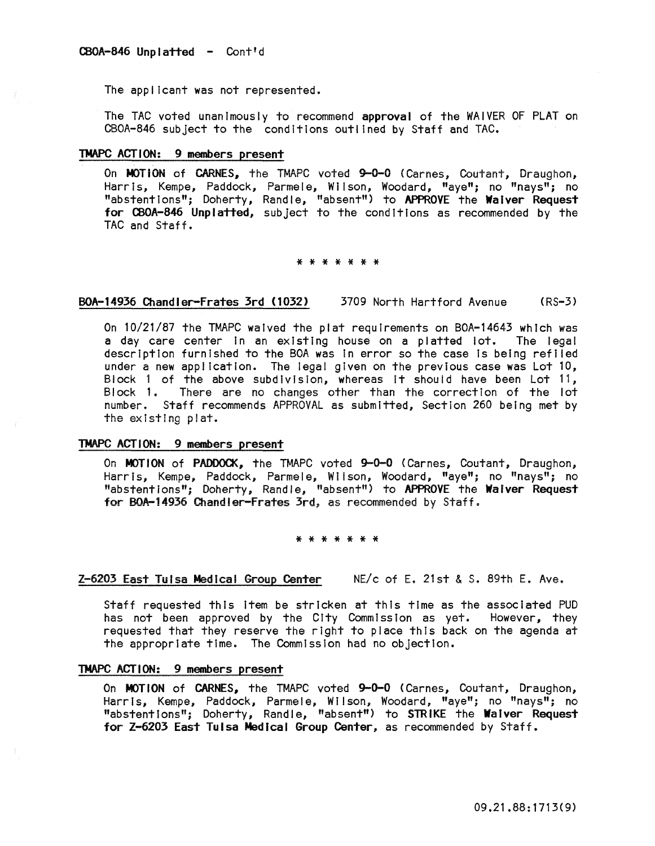The applicant was not represented.

The TAC voted unanimously to recommend approval of the WAIVER OF PLAT on CBOA-846 subject to the conditions outlined by Staff and TAC.

# TMAPC ACT ION: 9 members present

On MOTION of CARNES, the TMAPC voted 9-0-0 (Carnes, Coutant, Draughon, Harris, Kempe, Paddock, Parmele, Wilson, Woodard, "aye"; no "nays"; no "abstentions"; Doherty, Randle, "absent") to APPROVE the Waiver Request for CBOA-846 Unplatted, subject to the conditions as recommended by the TAC and Staff.

### \* \* \* \* \* \* \*

# BOA-14936 Chandler-Frates 3rd (1032) 3709 North Hartford Avenue (RS-3)

On 10/21/87 the TMAPC waived the plat requirements on BOA-14643 which was a day care center in an existing house on a platted lot. The legal description furnished to the BOA was In error so the case is being reflled under a new appl icatlon. The legal given on the previous case was Lot 10, Block 1 of the above subdivision, whereas it should have been Lot 11, Block 1. There are no changes other than the correction of the lot number. Staff recommends APPROVAL as submitted, Section 260 being met by the existing plat.

## TMAPC ACT ION: 9 members present

On MOTION of PADDOCK, the TMAPC voted 9-0-0 (Carnes, Coutant, Draughon, HarrIs, Kempe, Paddock, Parmele, Wilson, Woodard, "aye"; no "nays"; no "abstentions"; Doherty, Randle, "absent") to APPROVE the Waiver Request for BOA-14936 Chandler-Frates 3rd, as recommended by Staff.

# \* \* \* \* \* \* \*

# Z-6203 East Tulsa Medical Group Center NE/c of E. 21st & S. 89th E. Ave.

Staff requested this Item be stricken at thIs time as the associated PUD has not been approved by the City Commission as yet. However, they requested that they reserve the right to place this back on the agenda at the appropriate time. The Commission had no objection.

# TMAPC ACT ION: 9 members present

On MOTION of CARNES, the TMAPC voted 9-0-0 (Carnes, Coutant, Draughon, Harris, Kempe, Paddock, Parmele, Wilson, Woodard, "aye"; no "nays"; no "abstentions"; Doherty, Randle, "absent") to STRIKE the Waiver Request for Z-6203 East Tulsa Medical Group Center, as recommended by Staff.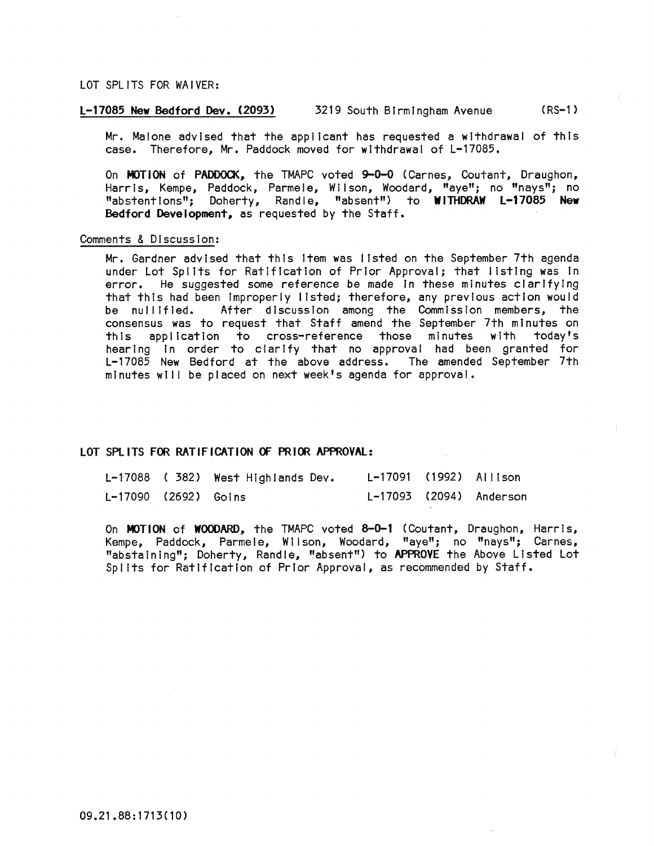## LOT SPLITS FOR WAIVER:

# L-17085 New Bedford Dev. (2093) 3219 South Birmingham Avenue (RS-1 )

Mr. Malone advised that the applicant has requested a withdrawal of this case. Therefore, Mr. Paddock moved for withdrawal of L-17085.

On MOTiON of PADDOCK, the TMAPC voted 9-0-0 (Carnes, Coutant, Draughon, Harris, Kempe, Paddock, Parmele, Wilson, Woodard, "aye"; no "nays"; no "abstentions"; Doherty, Randle, "absent") to WllliDRAW L-17085 New Bedford Development, as requested by the Staff.

#### Comments & Discussion:

Mr. Gardner advised that this Item was listed on the September 7th agenda under Lot Splits for Ratification of Prior Approval; that listing was in error. He suggested some reference be made In these minutes clarifying that this had been Improperly listed; therefore, any previous action would be nullified. After discussion among the Commission members, the consensus was to request that Staff amend the September 7th minutes on this application to cross-reference those minutes with hearing In order to clarify that no approval had been granted for L-17085 New Bedford at the above address. The amended September 7th minutes will be placed on next week's agenda for approval.

#### LOT SPlITS FOR RATiF ICATION OF PRIOR APPROVAl:

|                        | L-17088 (382) West Highlands Dev. | L-17091 (1992) Allison |                         |
|------------------------|-----------------------------------|------------------------|-------------------------|
| $L-17090$ (2692) Goins |                                   |                        | L-17093 (2094) Anderson |

On MOTION of WOODARD, the TMAPC voted 8-0-1 (Coutant, Draughon, Harris, Kempe, Paddock, Parmele, Wilson, Woodard, "aye"; no "nays"; Carnes, "abstaining"; Doherty, Randle, "absent") to APPROVE the Above Listed Lot Splits for Ratification of Prior Approval, as recommended by Staff.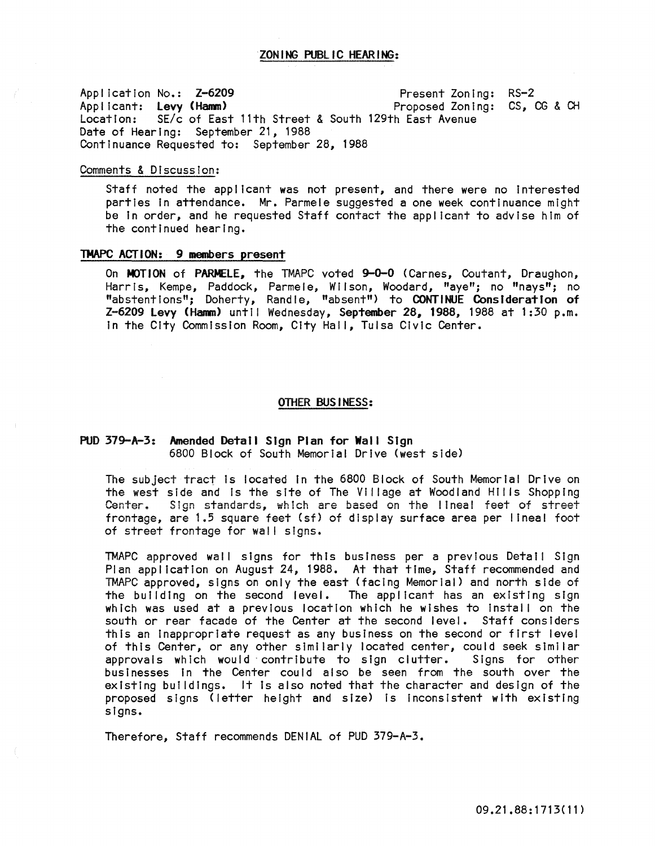Application No.: Z-6209 Applicant: Levy (Hamm)<br>Location: SE/c of East Location: SE/c of East 11th Street & South 129th East Avenue Date of Hearing: September 21, 1988 Continuance Requested to: September 28, 1988 Present Zoning: RS-2 Proposed Zoning: CS, CG & CH

## Comments & Discussion:

Staff noted the applicant was not present, and there were no Interested parties In attendance. Mr. Parmele suggested a one week continuance might be In order, and he requested Staff contact the applicant to advise him of the continued hearing.

## TMAPC ACT ION: 9 members present

On MOTION of PARMELE, the TMAPC voted 9-0-0 (Carnes, Coutant, Draughon, Harris, Kempe, Paddock, Parmele, Wilson, Woodard, "aye"; no "nays"; no "abstentions"; Doherty, Randle, "absent") to CONTINUE Consideration of Z-6209 Levy (Hamm) until Wednesday, September 28, 1988, 1988 at 1:30 p.m. in the City Commission Room, City Hall, Tulsa Civic Center.

## OTHER BUSINESS:

## PUD 379-A-3: Amended Detail Sign Plan for Wall Sign 6800 Block of South Memorial Drive (west side)

The subject tract Is located In the 6800 Block of South Memorial Drive on the west side and Is the site of The Village at Woodland Hills Shopping Center. Sign standards, which are based on the lineal feet of street frontage, are 1.5 square feet (sf) of display surface area per lineal foot of street frontage for wall signs.

TMAPC approved wall signs for this business per a previous Detail Sign Plan application on August 24, 1988. At that time, Staff recommended and TMAPC approved, signs on only the east (facing Memorial) and north side of the building on the second level. The applicant has an existing sign which was used at a previous location which he wishes to install on the south or rear facade of the Center at the second level. Staff considers this an inappropriate request as any business on the second or first level of this Center, or any other similarly located center, could seek similar approvals which would' contribute to sign clutter. Signs for other businesses in the Center could also be seen from the south over the existing buildings. It Is also noted that the character and design of the proposed signs (letter height and size) Is inconsistent with existing signs.

Therefore, Staff recommends DENIAL of PUD 379-A-3.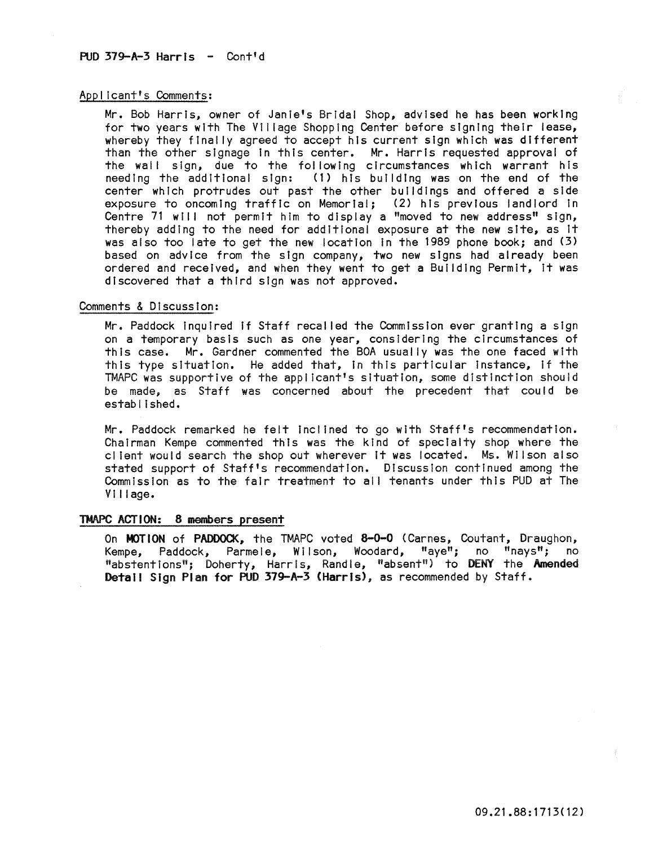## Applicant's Comments:

Mr. Bob Harris, owner of Janie's Bridal Shop, advised he has been working for two years with The Village Shopping Center before signing their lease, whereby they finally agreed to accept his current sign which was different than the other slgnage In this center. Mr. Harris requested approval of the wall sign, due to the following circumstances which warrant his needing the additional sign: (1) his building was on the end of the center which protrudes out past the other buildings and offered a side exposure to oncoming traffic on Memorial; (2) his previous landlord in Centre 71 will not permit him to display a "moved to new address" sign, thereby adding to the need for additional exposure at the new site, as It was also too late to get the new location in the 1989 phone book; and (3) based on advice from the sign company, two new signs had already been ordered and received, and when they went to get a Building Permit, It was discovered that a third sign was not approved.

# Comments & Discussion:

Mr. Paddock inquired if Staff recalled the Commission ever granting a sign on a temporary basis such as one year, consIdering the circumstances of this case. Mr. Gardner commented the BOA usually was the one faced with this type situation. He added that, in this particular instance, if the TMAPC was supportive of the applicant's situation, some distinction should be made, as Staff was concerned about the precedent that could be estab I i shed.

Mr. Paddock remarked he felt inclined to go with Staff's recommendation. Chairman Kempe commented this was the kind of specialty shop where the cl lent would search the shop out wherever it was located. Ms. Wilson also stated support of Staff's recommendation. Discussion continued among the Commission as to the fair treatment to all tenants under this PUD at The Village.

## TMAPC ACTION: 8 members present

On MOTION of PADDOCK, the TMAPC voted &-0-0 (Carnes, Coutant, Draughon, Kempe, Paddock, Parmele, Wilson, Woodard, "aye"; no "nays"; no "abstentions"; Doherty, Harris, Randle, "absent") to **DENY** the **Amended** Detail Sign Plan for PUD 379-A-3 (Harris), as recommended by Staff.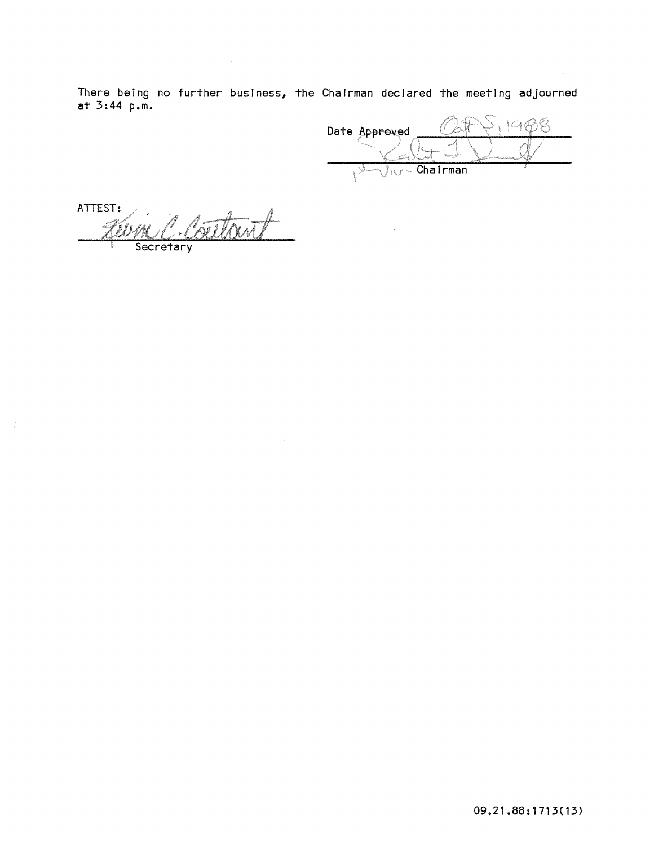There being no further business, the Chairman declared the meeting adjourned at 3:44 p.m.

1988 Date Approved  $\overline{\text{Ric} - \text{Chain}}$ 

ATTEST: Rutoni MM. Secretary